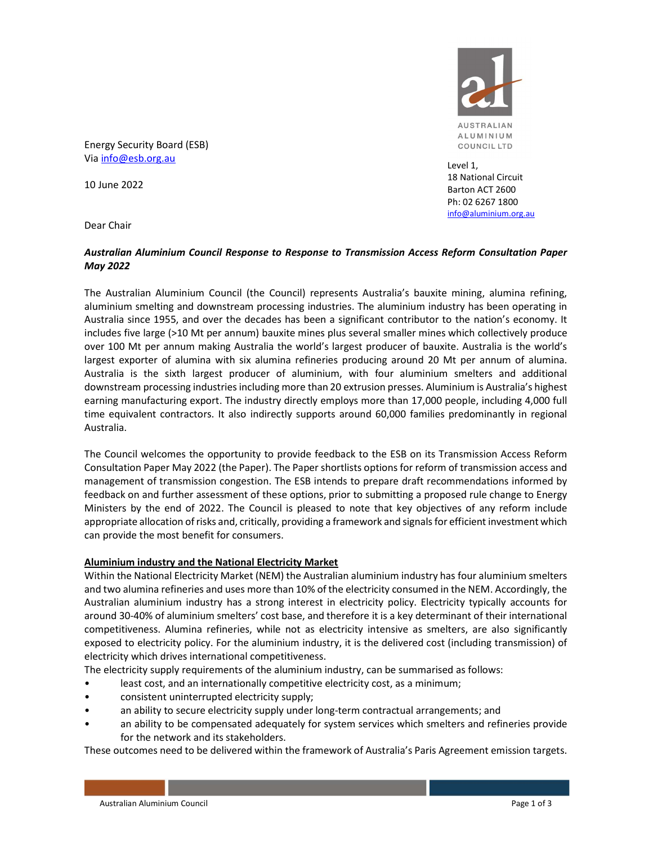

18 National Circuit Barton ACT 2600 Ph: 02 6267 1800 info@aluminium.org.au

Level 1,

Energy Security Board (ESB) Via info@esb.org.au

10 June 2022

Dear Chair

## Australian Aluminium Council Response to Response to Transmission Access Reform Consultation Paper May 2022

The Australian Aluminium Council (the Council) represents Australia's bauxite mining, alumina refining, aluminium smelting and downstream processing industries. The aluminium industry has been operating in Australia since 1955, and over the decades has been a significant contributor to the nation's economy. It includes five large (>10 Mt per annum) bauxite mines plus several smaller mines which collectively produce over 100 Mt per annum making Australia the world's largest producer of bauxite. Australia is the world's largest exporter of alumina with six alumina refineries producing around 20 Mt per annum of alumina. Australia is the sixth largest producer of aluminium, with four aluminium smelters and additional downstream processing industries including more than 20 extrusion presses. Aluminium is Australia's highest earning manufacturing export. The industry directly employs more than 17,000 people, including 4,000 full time equivalent contractors. It also indirectly supports around 60,000 families predominantly in regional Australia.

The Council welcomes the opportunity to provide feedback to the ESB on its Transmission Access Reform Consultation Paper May 2022 (the Paper). The Paper shortlists options for reform of transmission access and management of transmission congestion. The ESB intends to prepare draft recommendations informed by feedback on and further assessment of these options, prior to submitting a proposed rule change to Energy Ministers by the end of 2022. The Council is pleased to note that key objectives of any reform include appropriate allocation of risks and, critically, providing a framework and signals for efficient investment which can provide the most benefit for consumers.

### Aluminium industry and the National Electricity Market

Within the National Electricity Market (NEM) the Australian aluminium industry has four aluminium smelters and two alumina refineries and uses more than 10% of the electricity consumed in the NEM. Accordingly, the Australian aluminium industry has a strong interest in electricity policy. Electricity typically accounts for around 30-40% of aluminium smelters' cost base, and therefore it is a key determinant of their international competitiveness. Alumina refineries, while not as electricity intensive as smelters, are also significantly exposed to electricity policy. For the aluminium industry, it is the delivered cost (including transmission) of electricity which drives international competitiveness.

The electricity supply requirements of the aluminium industry, can be summarised as follows:

- least cost, and an internationally competitive electricity cost, as a minimum;
- consistent uninterrupted electricity supply;
- an ability to secure electricity supply under long-term contractual arrangements; and
- an ability to be compensated adequately for system services which smelters and refineries provide for the network and its stakeholders.

These outcomes need to be delivered within the framework of Australia's Paris Agreement emission targets.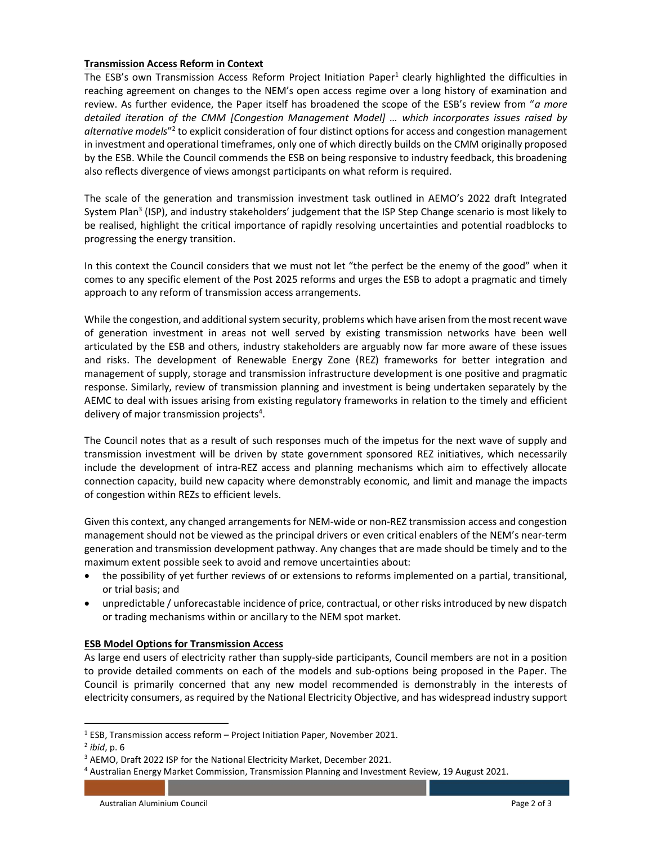### Transmission Access Reform in Context

The ESB's own Transmission Access Reform Project Initiation Paper<sup>1</sup> clearly highlighted the difficulties in reaching agreement on changes to the NEM's open access regime over a long history of examination and review. As further evidence, the Paper itself has broadened the scope of the ESB's review from "a more detailed iteration of the CMM [Congestion Management Model] … which incorporates issues raised by alternative models"<sup>2</sup> to explicit consideration of four distinct options for access and congestion management in investment and operational timeframes, only one of which directly builds on the CMM originally proposed by the ESB. While the Council commends the ESB on being responsive to industry feedback, this broadening also reflects divergence of views amongst participants on what reform is required.

The scale of the generation and transmission investment task outlined in AEMO's 2022 draft Integrated System Plan<sup>3</sup> (ISP), and industry stakeholders' judgement that the ISP Step Change scenario is most likely to be realised, highlight the critical importance of rapidly resolving uncertainties and potential roadblocks to progressing the energy transition.

In this context the Council considers that we must not let "the perfect be the enemy of the good" when it comes to any specific element of the Post 2025 reforms and urges the ESB to adopt a pragmatic and timely approach to any reform of transmission access arrangements.

While the congestion, and additional system security, problems which have arisen from the most recent wave of generation investment in areas not well served by existing transmission networks have been well articulated by the ESB and others, industry stakeholders are arguably now far more aware of these issues and risks. The development of Renewable Energy Zone (REZ) frameworks for better integration and management of supply, storage and transmission infrastructure development is one positive and pragmatic response. Similarly, review of transmission planning and investment is being undertaken separately by the AEMC to deal with issues arising from existing regulatory frameworks in relation to the timely and efficient delivery of major transmission projects<sup>4</sup>.

The Council notes that as a result of such responses much of the impetus for the next wave of supply and transmission investment will be driven by state government sponsored REZ initiatives, which necessarily include the development of intra-REZ access and planning mechanisms which aim to effectively allocate connection capacity, build new capacity where demonstrably economic, and limit and manage the impacts of congestion within REZs to efficient levels.

Given this context, any changed arrangements for NEM-wide or non-REZ transmission access and congestion management should not be viewed as the principal drivers or even critical enablers of the NEM's near-term generation and transmission development pathway. Any changes that are made should be timely and to the maximum extent possible seek to avoid and remove uncertainties about:

- the possibility of yet further reviews of or extensions to reforms implemented on a partial, transitional, or trial basis; and
- unpredictable / unforecastable incidence of price, contractual, or other risks introduced by new dispatch or trading mechanisms within or ancillary to the NEM spot market.

# ESB Model Options for Transmission Access

As large end users of electricity rather than supply-side participants, Council members are not in a position to provide detailed comments on each of the models and sub-options being proposed in the Paper. The Council is primarily concerned that any new model recommended is demonstrably in the interests of electricity consumers, as required by the National Electricity Objective, and has widespread industry support

<sup>&</sup>lt;sup>1</sup> ESB, Transmission access reform – Project Initiation Paper, November 2021.

<sup>&</sup>lt;sup>2</sup> ibid, p. 6

<sup>&</sup>lt;sup>3</sup> AEMO, Draft 2022 ISP for the National Electricity Market, December 2021.

<sup>4</sup> Australian Energy Market Commission, Transmission Planning and Investment Review, 19 August 2021.